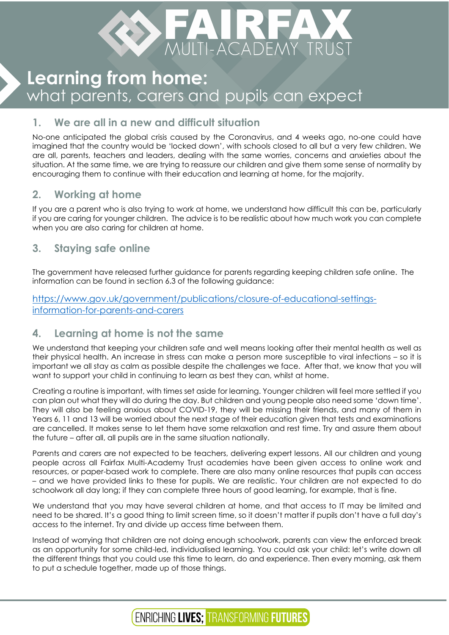

# **Learning from home:** what parents, carers and pupils can expect

## **1. We are all in a new and difficult situation**

No-one anticipated the global crisis caused by the Coronavirus, and 4 weeks ago, no-one could have imagined that the country would be 'locked down', with schools closed to all but a very few children. We are all, parents, teachers and leaders, dealing with the same worries, concerns and anxieties about the situation. At the same time, we are trying to reassure our children and give them some sense of normality by encouraging them to continue with their education and learning at home, for the majority.

## **2. Working at home**

If you are a parent who is also trying to work at home, we understand how difficult this can be, particularly if you are caring for younger children. The advice is to be realistic about how much work you can complete when you are also caring for children at home.

## **3. Staying safe online**

The government have released further guidance for parents regarding keeping children safe online. The information can be found in section 6.3 of the following guidance:

#### [https://www.gov.uk/government/publications/closure-of-educational-settings](https://www.gov.uk/government/publications/closure-of-educational-settings-information-for-parents-and-carers)[information-for-parents-and-carers](https://www.gov.uk/government/publications/closure-of-educational-settings-information-for-parents-and-carers)

### **4. Learning at home is not the same**

We understand that keeping your children safe and well means looking after their mental health as well as their physical health. An increase in stress can make a person more susceptible to viral infections – so it is important we all stay as calm as possible despite the challenges we face. After that, we know that you will want to support your child in continuing to learn as best they can, whilst at home.

Creating a routine is important, with times set aside for learning. Younger children will feel more settled if you can plan out what they will do during the day. But children and young people also need some 'down time'. They will also be feeling anxious about COVID-19, they will be missing their friends, and many of them in Years 6, 11 and 13 will be worried about the next stage of their education given that tests and examinations are cancelled. It makes sense to let them have some relaxation and rest time. Try and assure them about the future – after all, all pupils are in the same situation nationally.

Parents and carers are not expected to be teachers, delivering expert lessons. All our children and young people across all Fairfax Multi-Academy Trust academies have been given access to online work and resources, or paper-based work to complete. There are also many online resources that pupils can access – and we have provided links to these for pupils. We are realistic. Your children are not expected to do schoolwork all day long; if they can complete three hours of good learning, for example, that is fine.

We understand that you may have several children at home, and that access to IT may be limited and need to be shared. It's a good thing to limit screen time, so it doesn't matter if pupils don't have a full day's access to the internet. Try and divide up access time between them.

Instead of worrying that children are not doing enough schoolwork, parents can view the enforced break as an opportunity for some child-led, individualised learning. You could ask your child: let's write down all the different things that you could use this time to learn, do and experience. Then every morning, ask them to put a schedule together, made up of those things.

## **ENRICHING LIVES; TRANSFORMING FUTURES**